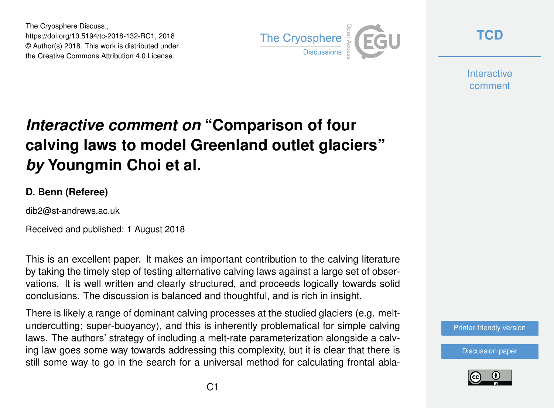The Cryosphere Discuss., https://doi.org/10.5194/tc-2018-132-RC1, 2018 © Author(s) 2018. This work is distributed under the Creative Commons Attribution 4.0 License.



**[TCD](https://www.the-cryosphere-discuss.net/)**

**Interactive** comment

## *Interactive comment on* **"Comparison of four calving laws to model Greenland outlet glaciers"** *by* **Youngmin Choi et al.**

## **D. Benn (Referee)**

dib2@st-andrews.ac.uk

Received and published: 1 August 2018

This is an excellent paper. It makes an important contribution to the calving literature by taking the timely step of testing alternative calving laws against a large set of observations. It is well written and clearly structured, and proceeds logically towards solid conclusions. The discussion is balanced and thoughtful, and is rich in insight.

There is likely a range of dominant calving processes at the studied glaciers (e.g. meltundercutting; super-buoyancy), and this is inherently problematical for simple calving laws. The authors' strategy of including a melt-rate parameterization alongside a calving law goes some way towards addressing this complexity, but it is clear that there is still some way to go in the search for a universal method for calculating frontal abla-

[Printer-friendly version](https://www.the-cryosphere-discuss.net/tc-2018-132/tc-2018-132-RC1-print.pdf)

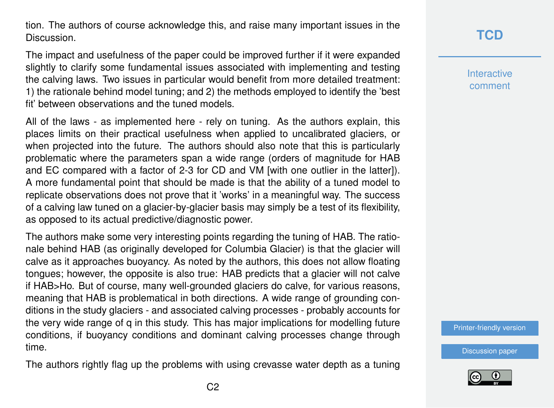tion. The authors of course acknowledge this, and raise many important issues in the **Discussion** 

The impact and usefulness of the paper could be improved further if it were expanded slightly to clarify some fundamental issues associated with implementing and testing the calving laws. Two issues in particular would benefit from more detailed treatment: 1) the rationale behind model tuning; and 2) the methods employed to identify the 'best fit' between observations and the tuned models.

All of the laws - as implemented here - rely on tuning. As the authors explain, this places limits on their practical usefulness when applied to uncalibrated glaciers, or when projected into the future. The authors should also note that this is particularly problematic where the parameters span a wide range (orders of magnitude for HAB and EC compared with a factor of 2-3 for CD and VM [with one outlier in the latter]). A more fundamental point that should be made is that the ability of a tuned model to replicate observations does not prove that it 'works' in a meaningful way. The success of a calving law tuned on a glacier-by-glacier basis may simply be a test of its flexibility, as opposed to its actual predictive/diagnostic power.

The authors make some very interesting points regarding the tuning of HAB. The rationale behind HAB (as originally developed for Columbia Glacier) is that the glacier will calve as it approaches buoyancy. As noted by the authors, this does not allow floating tongues; however, the opposite is also true: HAB predicts that a glacier will not calve if HAB>Ho. But of course, many well-grounded glaciers do calve, for various reasons, meaning that HAB is problematical in both directions. A wide range of grounding conditions in the study glaciers - and associated calving processes - probably accounts for the very wide range of q in this study. This has major implications for modelling future conditions, if buoyancy conditions and dominant calving processes change through time.

The authors rightly flag up the problems with using crevasse water depth as a tuning

**Interactive** comment

[Printer-friendly version](https://www.the-cryosphere-discuss.net/tc-2018-132/tc-2018-132-RC1-print.pdf)

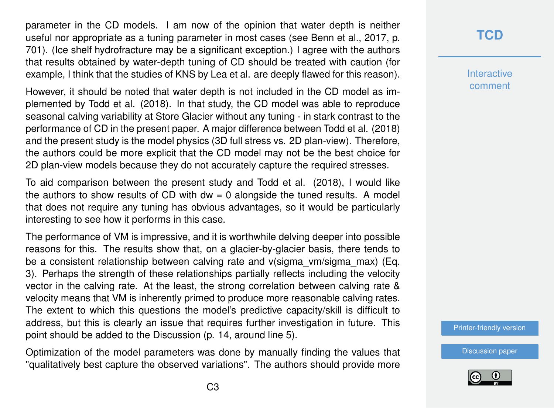parameter in the CD models. I am now of the opinion that water depth is neither useful nor appropriate as a tuning parameter in most cases (see Benn et al., 2017, p. 701). (Ice shelf hydrofracture may be a significant exception.) I agree with the authors that results obtained by water-depth tuning of CD should be treated with caution (for example, I think that the studies of KNS by Lea et al. are deeply flawed for this reason).

However, it should be noted that water depth is not included in the CD model as implemented by Todd et al. (2018). In that study, the CD model was able to reproduce seasonal calving variability at Store Glacier without any tuning - in stark contrast to the performance of CD in the present paper. A major difference between Todd et al. (2018) and the present study is the model physics (3D full stress vs. 2D plan-view). Therefore, the authors could be more explicit that the CD model may not be the best choice for 2D plan-view models because they do not accurately capture the required stresses.

To aid comparison between the present study and Todd et al. (2018), I would like the authors to show results of CD with  $dw = 0$  alongside the tuned results. A model that does not require any tuning has obvious advantages, so it would be particularly interesting to see how it performs in this case.

The performance of VM is impressive, and it is worthwhile delving deeper into possible reasons for this. The results show that, on a glacier-by-glacier basis, there tends to be a consistent relationship between calving rate and v(sigma vm/sigma max) (Eq. 3). Perhaps the strength of these relationships partially reflects including the velocity vector in the calving rate. At the least, the strong correlation between calving rate & velocity means that VM is inherently primed to produce more reasonable calving rates. The extent to which this questions the model's predictive capacity/skill is difficult to address, but this is clearly an issue that requires further investigation in future. This point should be added to the Discussion (p. 14, around line 5).

Optimization of the model parameters was done by manually finding the values that "qualitatively best capture the observed variations". The authors should provide more

**Interactive** comment

[Printer-friendly version](https://www.the-cryosphere-discuss.net/tc-2018-132/tc-2018-132-RC1-print.pdf)